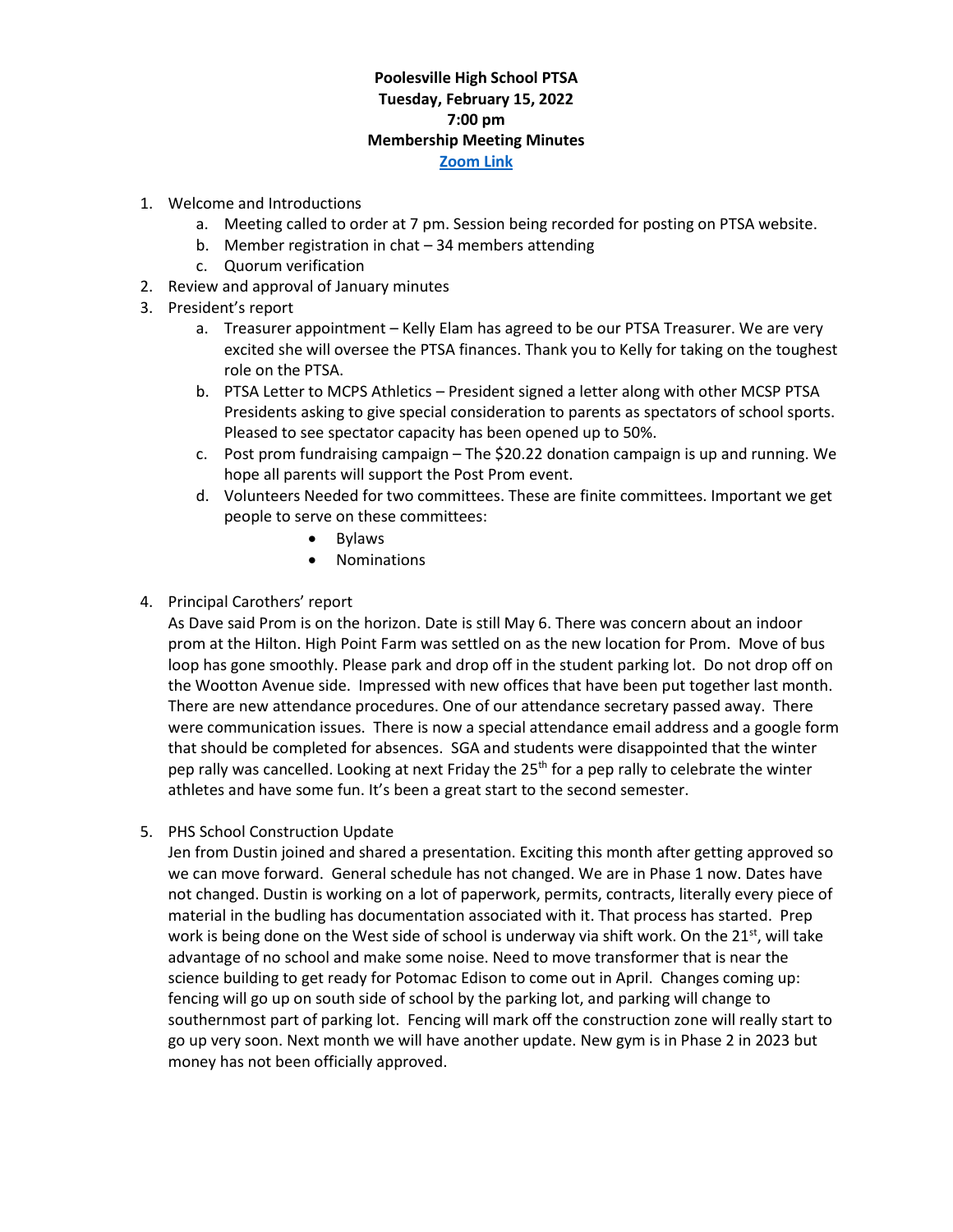## **Poolesville High School PTSA Tuesday, February 15, 2022 7:00 pm Membership Meeting Minutes [Zoom Link](https://us02web.zoom.us/j/88214901653?pwd=WFBrTlNhZkdaTkc2TE9PSWFYZE9ldz09)**

- 1. Welcome and Introductions
	- a. Meeting called to order at 7 pm. Session being recorded for posting on PTSA website.
	- b. Member registration in chat 34 members attending
	- c. Quorum verification
- 2. Review and approval of January minutes
- 3. President's report
	- a. Treasurer appointment Kelly Elam has agreed to be our PTSA Treasurer. We are very excited she will oversee the PTSA finances. Thank you to Kelly for taking on the toughest role on the PTSA.
	- b. PTSA Letter to MCPS Athletics President signed a letter along with other MCSP PTSA Presidents asking to give special consideration to parents as spectators of school sports. Pleased to see spectator capacity has been opened up to 50%.
	- c. Post prom fundraising campaign [The \\$20.22](https://www.paypal.com/donate?token=j8BzYIxsiqbO5yEzIizF3qiot6mSFfPsdTDayqkXD6Xy6DALJcICzVE3nfsNU0Rj48lwo_LE9nF_a4SG) donation campaign is up and running. We hope all parents will support the Post Prom event.
	- d. Volunteers Needed for two committees. These are finite committees. Important we get people to serve on these committees:
		- Bylaws
		- Nominations

## 4. Principal Carothers' report

As Dave said Prom is on the horizon. Date is still May 6. There was concern about an indoor prom at the Hilton. High Point Farm was settled on as the new location for Prom. Move of bus loop has gone smoothly. Please park and drop off in the student parking lot. Do not drop off on the Wootton Avenue side. Impressed with new offices that have been put together last month. There are new attendance procedures. One of our attendance secretary passed away. There were communication issues. There is now a special attendance email address and a google form that should be completed for absences. SGA and students were disappointed that the winter pep rally was cancelled. Looking at next Friday the 25<sup>th</sup> for a pep rally to celebrate the winter athletes and have some fun. It's been a great start to the second semester.

5. PHS School Construction Update

Jen from Dustin joined and shared a presentation. Exciting this month after getting approved so we can move forward. General schedule has not changed. We are in Phase 1 now. Dates have not changed. Dustin is working on a lot of paperwork, permits, contracts, literally every piece of material in the budling has documentation associated with it. That process has started. Prep work is being done on the West side of school is underway via shift work. On the 21st, will take advantage of no school and make some noise. Need to move transformer that is near the science building to get ready for Potomac Edison to come out in April. Changes coming up: fencing will go up on south side of school by the parking lot, and parking will change to southernmost part of parking lot. Fencing will mark off the construction zone will really start to go up very soon. Next month we will have another update. New gym is in Phase 2 in 2023 but money has not been officially approved.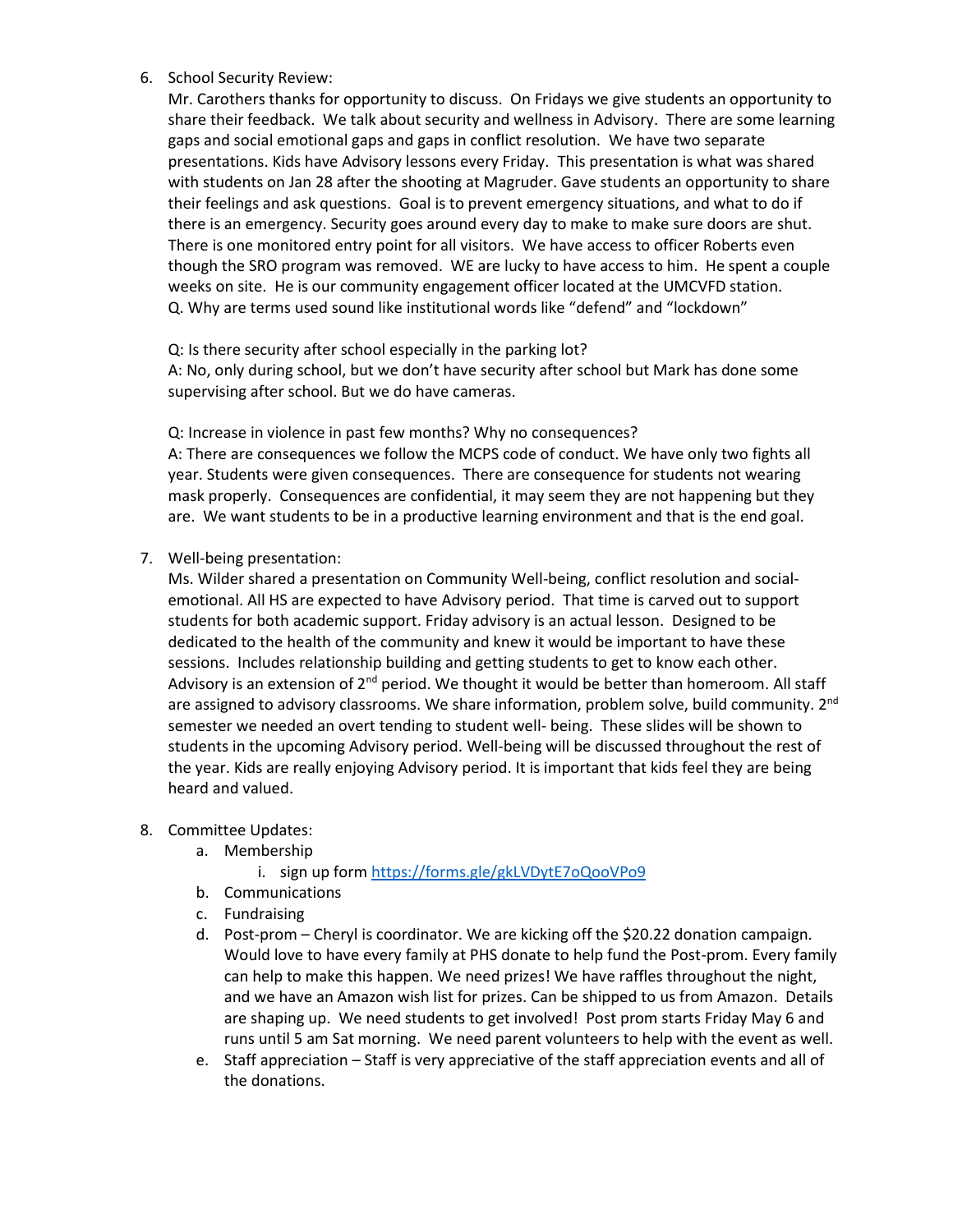6. School Security Review:

Mr. Carothers thanks for opportunity to discuss. On Fridays we give students an opportunity to share their feedback. We talk about security and wellness in Advisory. There are some learning gaps and social emotional gaps and gaps in conflict resolution. We have two separate presentations. Kids have Advisory lessons every Friday. This presentation is what was shared with students on Jan 28 after the shooting at Magruder. Gave students an opportunity to share their feelings and ask questions. Goal is to prevent emergency situations, and what to do if there is an emergency. Security goes around every day to make to make sure doors are shut. There is one monitored entry point for all visitors. We have access to officer Roberts even though the SRO program was removed. WE are lucky to have access to him. He spent a couple weeks on site. He is our community engagement officer located at the UMCVFD station. Q. Why are terms used sound like institutional words like "defend" and "lockdown"

Q: Is there security after school especially in the parking lot?

A: No, only during school, but we don't have security after school but Mark has done some supervising after school. But we do have cameras.

Q: Increase in violence in past few months? Why no consequences?

A: There are consequences we follow the MCPS code of conduct. We have only two fights all year. Students were given consequences. There are consequence for students not wearing mask properly. Consequences are confidential, it may seem they are not happening but they are. We want students to be in a productive learning environment and that is the end goal.

7. Well-being presentation:

Ms. Wilder shared a presentation on Community Well-being, conflict resolution and socialemotional. All HS are expected to have Advisory period. That time is carved out to support students for both academic support. Friday advisory is an actual lesson. Designed to be dedicated to the health of the community and knew it would be important to have these sessions. Includes relationship building and getting students to get to know each other. Advisory is an extension of  $2^{nd}$  period. We thought it would be better than homeroom. All staff are assigned to advisory classrooms. We share information, problem solve, build community. 2<sup>nd</sup> semester we needed an overt tending to student well- being. These slides will be shown to students in the upcoming Advisory period. Well-being will be discussed throughout the rest of the year. Kids are really enjoying Advisory period. It is important that kids feel they are being heard and valued.

- 8. Committee Updates:
	- a. Membership

i. sign up for[m https://forms.gle/gkLVDytE7oQooVPo9](https://forms.gle/gkLVDytE7oQooVPo9)

- b. Communications
- c. Fundraising
- d. Post-prom Cheryl is coordinator. We are kicking off the \$20.22 donation campaign. Would love to have every family at PHS donate to help fund the Post-prom. Every family can help to make this happen. We need prizes! We have raffles throughout the night, and we have an Amazon wish list for prizes. Can be shipped to us from Amazon. Details are shaping up. We need students to get involved! Post prom starts Friday May 6 and runs until 5 am Sat morning. We need parent volunteers to help with the event as well.
- e. Staff appreciation Staff is very appreciative of the staff appreciation events and all of the donations.